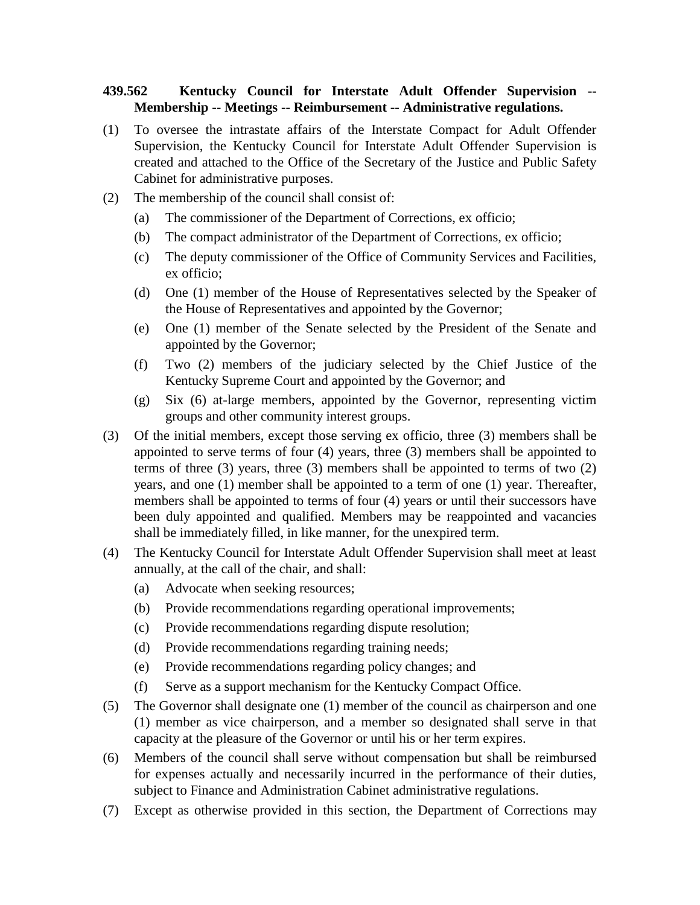## **439.562 Kentucky Council for Interstate Adult Offender Supervision -- Membership -- Meetings -- Reimbursement -- Administrative regulations.**

- (1) To oversee the intrastate affairs of the Interstate Compact for Adult Offender Supervision, the Kentucky Council for Interstate Adult Offender Supervision is created and attached to the Office of the Secretary of the Justice and Public Safety Cabinet for administrative purposes.
- (2) The membership of the council shall consist of:
	- (a) The commissioner of the Department of Corrections, ex officio;
	- (b) The compact administrator of the Department of Corrections, ex officio;
	- (c) The deputy commissioner of the Office of Community Services and Facilities, ex officio;
	- (d) One (1) member of the House of Representatives selected by the Speaker of the House of Representatives and appointed by the Governor;
	- (e) One (1) member of the Senate selected by the President of the Senate and appointed by the Governor;
	- (f) Two (2) members of the judiciary selected by the Chief Justice of the Kentucky Supreme Court and appointed by the Governor; and
	- (g) Six (6) at-large members, appointed by the Governor, representing victim groups and other community interest groups.
- (3) Of the initial members, except those serving ex officio, three (3) members shall be appointed to serve terms of four (4) years, three (3) members shall be appointed to terms of three (3) years, three (3) members shall be appointed to terms of two (2) years, and one (1) member shall be appointed to a term of one (1) year. Thereafter, members shall be appointed to terms of four (4) years or until their successors have been duly appointed and qualified. Members may be reappointed and vacancies shall be immediately filled, in like manner, for the unexpired term.
- (4) The Kentucky Council for Interstate Adult Offender Supervision shall meet at least annually, at the call of the chair, and shall:
	- (a) Advocate when seeking resources;
	- (b) Provide recommendations regarding operational improvements;
	- (c) Provide recommendations regarding dispute resolution;
	- (d) Provide recommendations regarding training needs;
	- (e) Provide recommendations regarding policy changes; and
	- (f) Serve as a support mechanism for the Kentucky Compact Office.
- (5) The Governor shall designate one (1) member of the council as chairperson and one (1) member as vice chairperson, and a member so designated shall serve in that capacity at the pleasure of the Governor or until his or her term expires.
- (6) Members of the council shall serve without compensation but shall be reimbursed for expenses actually and necessarily incurred in the performance of their duties, subject to Finance and Administration Cabinet administrative regulations.
- (7) Except as otherwise provided in this section, the Department of Corrections may